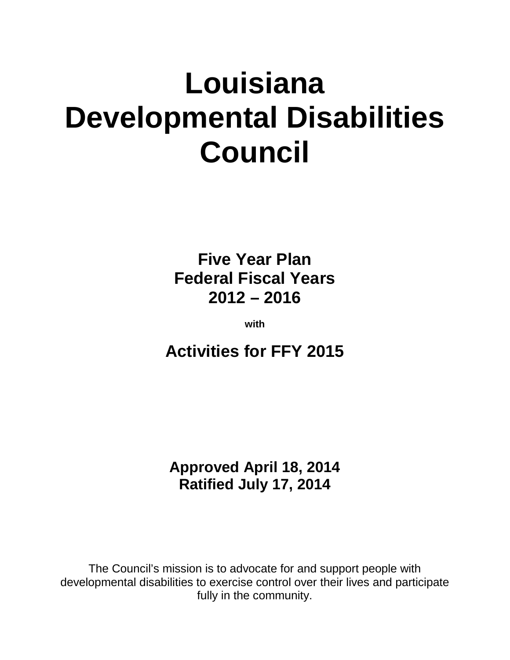# **Louisiana Developmental Disabilities Council**

**Five Year Plan Federal Fiscal Years 2012 – 2016**

**with**

**Activities for FFY 2015**

**Approved April 18, 2014 Ratified July 17, 2014**

The Council's mission is to advocate for and support people with developmental disabilities to exercise control over their lives and participate fully in the community.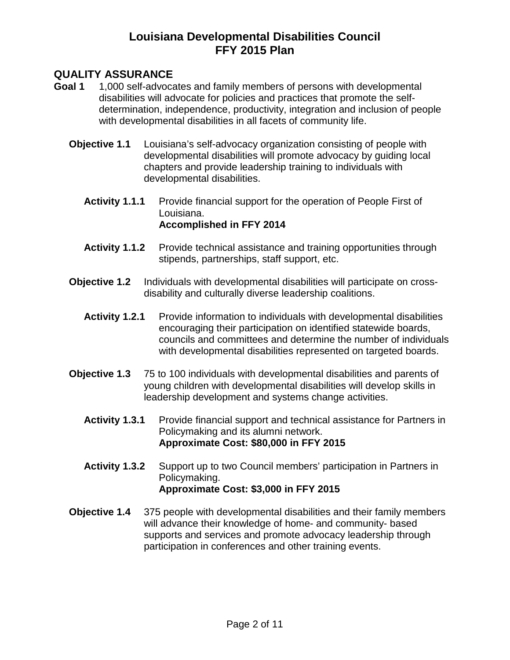#### **QUALITY ASSURANCE**

- **Goal 1** 1,000 self-advocates and family members of persons with developmental disabilities will advocate for policies and practices that promote the selfdetermination, independence, productivity, integration and inclusion of people with developmental disabilities in all facets of community life.
	- **Objective 1.1** Louisiana's self-advocacy organization consisting of people with developmental disabilities will promote advocacy by guiding local chapters and provide leadership training to individuals with developmental disabilities.
		- **Activity 1.1.1** Provide financial support for the operation of People First of Louisiana. **Accomplished in FFY 2014**
		- **Activity 1.1.2** Provide technical assistance and training opportunities through stipends, partnerships, staff support, etc.
	- **Objective 1.2** Individuals with developmental disabilities will participate on crossdisability and culturally diverse leadership coalitions.
		- Activity 1.2.1 Provide information to individuals with developmental disabilities encouraging their participation on identified statewide boards, councils and committees and determine the number of individuals with developmental disabilities represented on targeted boards.
	- **Objective 1.3** 75 to 100 individuals with developmental disabilities and parents of young children with developmental disabilities will develop skills in leadership development and systems change activities.
		- **Activity 1.3.1** Provide financial support and technical assistance for Partners in Policymaking and its alumni network. **Approximate Cost: \$80,000 in FFY 2015**
		- **Activity 1.3.2** Support up to two Council members' participation in Partners in Policymaking. **Approximate Cost: \$3,000 in FFY 2015**
	- **Objective 1.4** 375 people with developmental disabilities and their family members will advance their knowledge of home- and community- based supports and services and promote advocacy leadership through participation in conferences and other training events.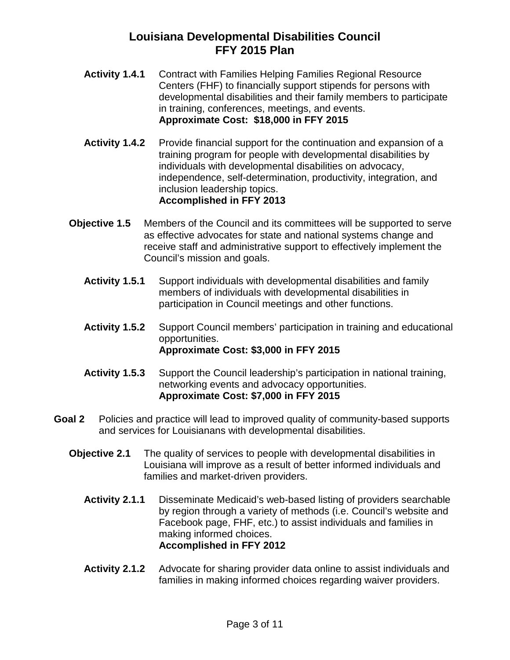- **Activity 1.4.1** Contract with Families Helping Families Regional Resource Centers (FHF) to financially support stipends for persons with developmental disabilities and their family members to participate in training, conferences, meetings, and events. **Approximate Cost: \$18,000 in FFY 2015**
- Activity 1.4.2 Provide financial support for the continuation and expansion of a training program for people with developmental disabilities by individuals with developmental disabilities on advocacy, independence, self-determination, productivity, integration, and inclusion leadership topics. **Accomplished in FFY 2013**
- **Objective 1.5** Members of the Council and its committees will be supported to serve as effective advocates for state and national systems change and receive staff and administrative support to effectively implement the Council's mission and goals.
	- **Activity 1.5.1** Support individuals with developmental disabilities and family members of individuals with developmental disabilities in participation in Council meetings and other functions.
	- **Activity 1.5.2** Support Council members' participation in training and educational opportunities. **Approximate Cost: \$3,000 in FFY 2015**
	- **Activity 1.5.3** Support the Council leadership's participation in national training, networking events and advocacy opportunities. **Approximate Cost: \$7,000 in FFY 2015**
- **Goal 2** Policies and practice will lead to improved quality of community-based supports and services for Louisianans with developmental disabilities.
	- **Objective 2.1** The quality of services to people with developmental disabilities in Louisiana will improve as a result of better informed individuals and families and market-driven providers.
		- **Activity 2.1.1** Disseminate Medicaid's web-based listing of providers searchable by region through a variety of methods (i.e. Council's website and Facebook page, FHF, etc.) to assist individuals and families in making informed choices. **Accomplished in FFY 2012**
		- **Activity 2.1.2** Advocate for sharing provider data online to assist individuals and families in making informed choices regarding waiver providers.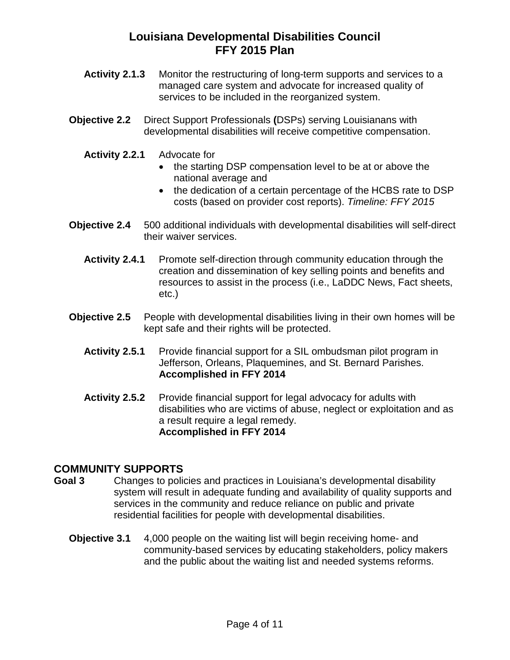- **Activity 2.1.3** Monitor the restructuring of long-term supports and services to a managed care system and advocate for increased quality of services to be included in the reorganized system.
- **Objective 2.2** Direct Support Professionals **(**DSPs) serving Louisianans with developmental disabilities will receive competitive compensation.
	- **Activity 2.2.1** Advocate for
		- the starting DSP compensation level to be at or above the national average and
		- the dedication of a certain percentage of the HCBS rate to DSP costs (based on provider cost reports). *Timeline: FFY 2015*
- **Objective 2.4** 500 additional individuals with developmental disabilities will self-direct their waiver services.
	- **Activity 2.4.1** Promote self-direction through community education through the creation and dissemination of key selling points and benefits and resources to assist in the process (i.e., LaDDC News, Fact sheets, etc.)
- **Objective 2.5** People with developmental disabilities living in their own homes will be kept safe and their rights will be protected.
	- **Activity 2.5.1** Provide financial support for a SIL ombudsman pilot program in Jefferson, Orleans, Plaquemines, and St. Bernard Parishes. **Accomplished in FFY 2014**
	- **Activity 2.5.2** Provide financial support for legal advocacy for adults with disabilities who are victims of abuse, neglect or exploitation and as a result require a legal remedy. **Accomplished in FFY 2014**

#### **COMMUNITY SUPPORTS**

- **Goal 3** Changes to policies and practices in Louisiana's developmental disability system will result in adequate funding and availability of quality supports and services in the community and reduce reliance on public and private residential facilities for people with developmental disabilities.
	- **Objective 3.1** 4,000 people on the waiting list will begin receiving home- and community-based services by educating stakeholders, policy makers and the public about the waiting list and needed systems reforms.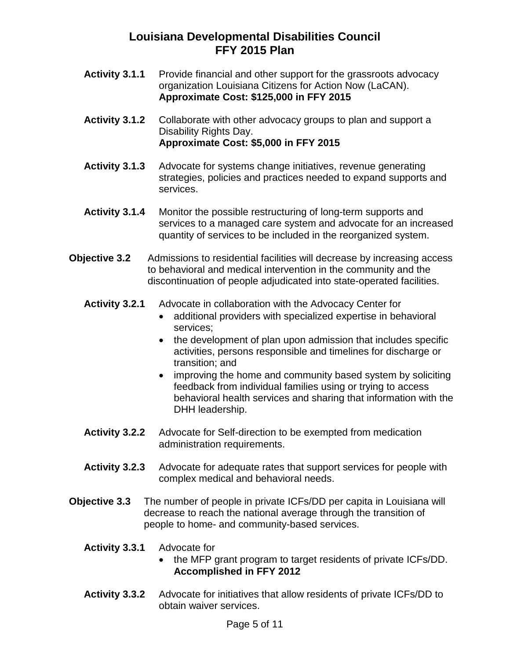- Activity 3.1.1 Provide financial and other support for the grassroots advocacy organization Louisiana Citizens for Action Now (LaCAN). **Approximate Cost: \$125,000 in FFY 2015**
- **Activity 3.1.2** Collaborate with other advocacy groups to plan and support a Disability Rights Day. **Approximate Cost: \$5,000 in FFY 2015**
- **Activity 3.1.3** Advocate for systems change initiatives, revenue generating strategies, policies and practices needed to expand supports and services.
- **Activity 3.1.4** Monitor the possible restructuring of long-term supports and services to a managed care system and advocate for an increased quantity of services to be included in the reorganized system.
- **Objective 3.2** Admissions to residential facilities will decrease by increasing access to behavioral and medical intervention in the community and the discontinuation of people adjudicated into state-operated facilities.
	- **Activity 3.2.1** Advocate in collaboration with the Advocacy Center for
		- additional providers with specialized expertise in behavioral services;
		- the development of plan upon admission that includes specific activities, persons responsible and timelines for discharge or transition; and
		- improving the home and community based system by soliciting feedback from individual families using or trying to access behavioral health services and sharing that information with the DHH leadership.
	- **Activity 3.2.2** Advocate for Self-direction to be exempted from medication administration requirements.
	- **Activity 3.2.3** Advocate for adequate rates that support services for people with complex medical and behavioral needs.
- **Objective 3.3** The number of people in private ICFs/DD per capita in Louisiana will decrease to reach the national average through the transition of people to home- and community-based services.
	- **Activity 3.3.1** Advocate for
		- the MFP grant program to target residents of private ICFs/DD. **Accomplished in FFY 2012**
	- **Activity 3.3.2** Advocate for initiatives that allow residents of private ICFs/DD to obtain waiver services.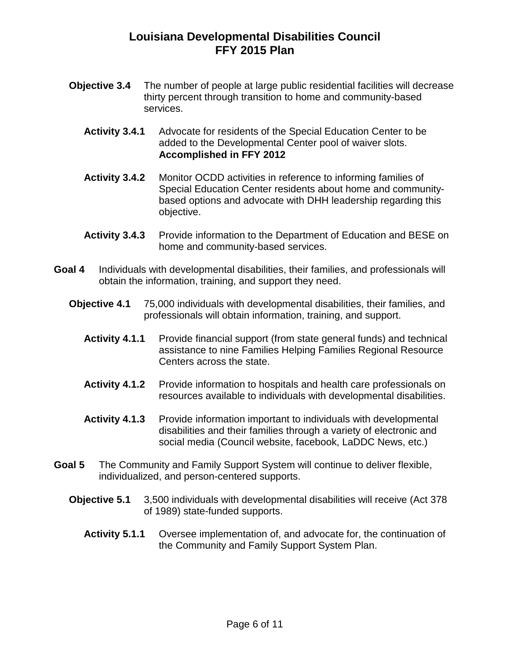- **Objective 3.4** The number of people at large public residential facilities will decrease thirty percent through transition to home and community-based services.
	- **Activity 3.4.1** Advocate for residents of the Special Education Center to be added to the Developmental Center pool of waiver slots. **Accomplished in FFY 2012**
	- **Activity 3.4.2** Monitor OCDD activities in reference to informing families of Special Education Center residents about home and communitybased options and advocate with DHH leadership regarding this objective.
	- Activity 3.4.3 Provide information to the Department of Education and BESE on home and community-based services.
- **Goal 4** Individuals with developmental disabilities, their families, and professionals will obtain the information, training, and support they need.
	- **Objective 4.1** 75,000 individuals with developmental disabilities, their families, and professionals will obtain information, training, and support.
		- **Activity 4.1.1** Provide financial support (from state general funds) and technical assistance to nine Families Helping Families Regional Resource Centers across the state.
		- **Activity 4.1.2** Provide information to hospitals and health care professionals on resources available to individuals with developmental disabilities.
		- **Activity 4.1.3** Provide information important to individuals with developmental disabilities and their families through a variety of electronic and social media (Council website, facebook, LaDDC News, etc.)
- **Goal 5** The Community and Family Support System will continue to deliver flexible, individualized, and person-centered supports.
	- **Objective 5.1** 3,500 individuals with developmental disabilities will receive (Act 378 of 1989) state-funded supports.
		- **Activity 5.1.1** Oversee implementation of, and advocate for, the continuation of the Community and Family Support System Plan.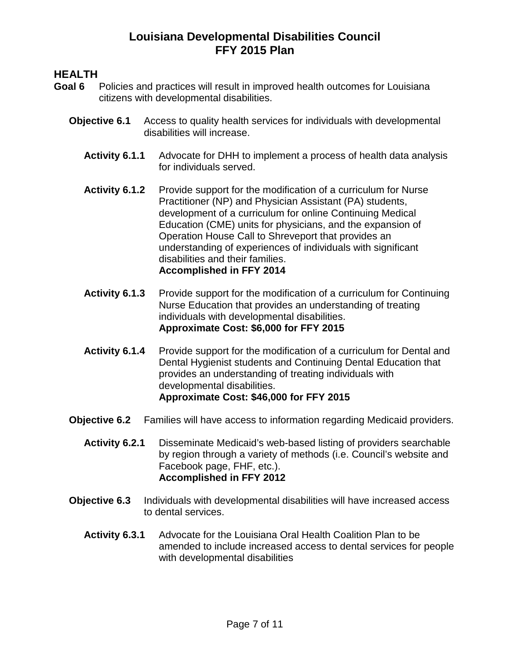#### **HEALTH**

- **Goal 6** Policies and practices will result in improved health outcomes for Louisiana citizens with developmental disabilities.
	- **Objective 6.1** Access to quality health services for individuals with developmental disabilities will increase.
		- **Activity 6.1.1** Advocate for DHH to implement a process of health data analysis for individuals served.
		- Activity 6.1.2 Provide support for the modification of a curriculum for Nurse Practitioner (NP) and Physician Assistant (PA) students, development of a curriculum for online Continuing Medical Education (CME) units for physicians, and the expansion of Operation House Call to Shreveport that provides an understanding of experiences of individuals with significant disabilities and their families. **Accomplished in FFY 2014**
		- Activity 6.1.3 Provide support for the modification of a curriculum for Continuing Nurse Education that provides an understanding of treating individuals with developmental disabilities. **Approximate Cost: \$6,000 for FFY 2015**
		- **Activity 6.1.4** Provide support for the modification of a curriculum for Dental and Dental Hygienist students and Continuing Dental Education that provides an understanding of treating individuals with developmental disabilities. **Approximate Cost: \$46,000 for FFY 2015**
	- **Objective 6.2** Families will have access to information regarding Medicaid providers.
		- **Activity 6.2.1** Disseminate Medicaid's web-based listing of providers searchable by region through a variety of methods (i.e. Council's website and Facebook page, FHF, etc.). **Accomplished in FFY 2012**
	- **Objective 6.3** Individuals with developmental disabilities will have increased access to dental services.
		- **Activity 6.3.1** Advocate for the Louisiana Oral Health Coalition Plan to be amended to include increased access to dental services for people with developmental disabilities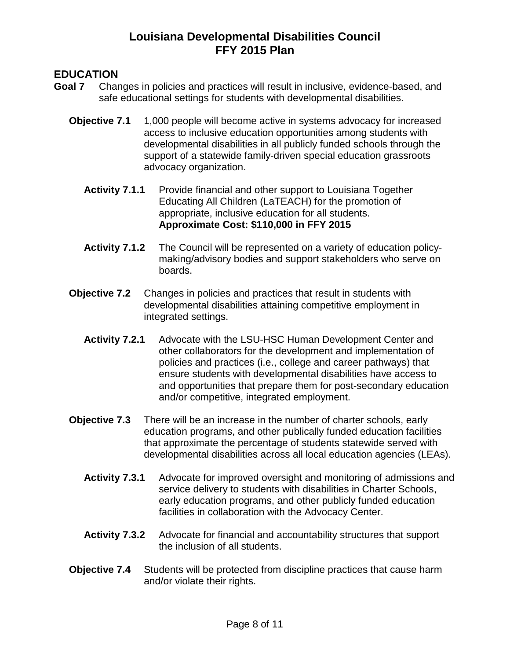### **EDUCATION**

- **Goal 7** Changes in policies and practices will result in inclusive, evidence-based, and safe educational settings for students with developmental disabilities.
	- **Objective 7.1** 1,000 people will become active in systems advocacy for increased access to inclusive education opportunities among students with developmental disabilities in all publicly funded schools through the support of a statewide family-driven special education grassroots advocacy organization.
		- **Activity 7.1.1** Provide financial and other support to Louisiana Together Educating All Children (LaTEACH) for the promotion of appropriate, inclusive education for all students. **Approximate Cost: \$110,000 in FFY 2015**
		- **Activity 7.1.2** The Council will be represented on a variety of education policymaking/advisory bodies and support stakeholders who serve on boards.
	- **Objective 7.2** Changes in policies and practices that result in students with developmental disabilities attaining competitive employment in integrated settings.
		- **Activity 7.2.1** Advocate with the LSU-HSC Human Development Center and other collaborators for the development and implementation of policies and practices (i.e., college and career pathways) that ensure students with developmental disabilities have access to and opportunities that prepare them for post-secondary education and/or competitive, integrated employment.
	- **Objective 7.3** There will be an increase in the number of charter schools, early education programs, and other publically funded education facilities that approximate the percentage of students statewide served with developmental disabilities across all local education agencies (LEAs).
		- **Activity 7.3.1** Advocate for improved oversight and monitoring of admissions and service delivery to students with disabilities in Charter Schools, early education programs, and other publicly funded education facilities in collaboration with the Advocacy Center.
		- **Activity 7.3.2** Advocate for financial and accountability structures that support the inclusion of all students.
	- **Objective 7.4** Students will be protected from discipline practices that cause harm and/or violate their rights.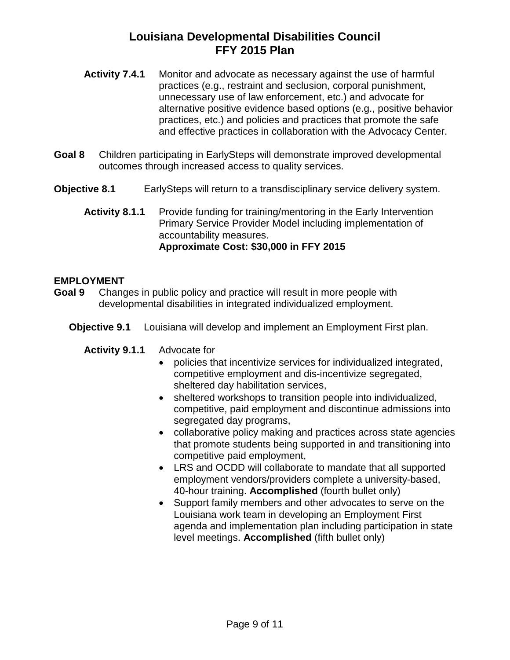- **Activity 7.4.1** Monitor and advocate as necessary against the use of harmful practices (e.g., restraint and seclusion, corporal punishment, unnecessary use of law enforcement, etc.) and advocate for alternative positive evidence based options (e.g., positive behavior practices, etc.) and policies and practices that promote the safe and effective practices in collaboration with the Advocacy Center.
- **Goal 8** Children participating in EarlySteps will demonstrate improved developmental outcomes through increased access to quality services.
- **Objective 8.1** EarlySteps will return to a transdisciplinary service delivery system.
	- **Activity 8.1.1** Provide funding for training/mentoring in the Early Intervention Primary Service Provider Model including implementation of accountability measures. **Approximate Cost: \$30,000 in FFY 2015**

#### **EMPLOYMENT**

- **Goal 9** Changes in public policy and practice will result in more people with developmental disabilities in integrated individualized employment.
	- **Objective 9.1** Louisiana will develop and implement an Employment First plan.
		- **Activity 9.1.1** Advocate for
			- policies that incentivize services for individualized integrated, competitive employment and dis-incentivize segregated, sheltered day habilitation services,
			- sheltered workshops to transition people into individualized, competitive, paid employment and discontinue admissions into segregated day programs,
			- collaborative policy making and practices across state agencies that promote students being supported in and transitioning into competitive paid employment,
			- LRS and OCDD will collaborate to mandate that all supported employment vendors/providers complete a university-based, 40-hour training. **Accomplished** (fourth bullet only)
			- Support family members and other advocates to serve on the Louisiana work team in developing an Employment First agenda and implementation plan including participation in state level meetings. **Accomplished** (fifth bullet only)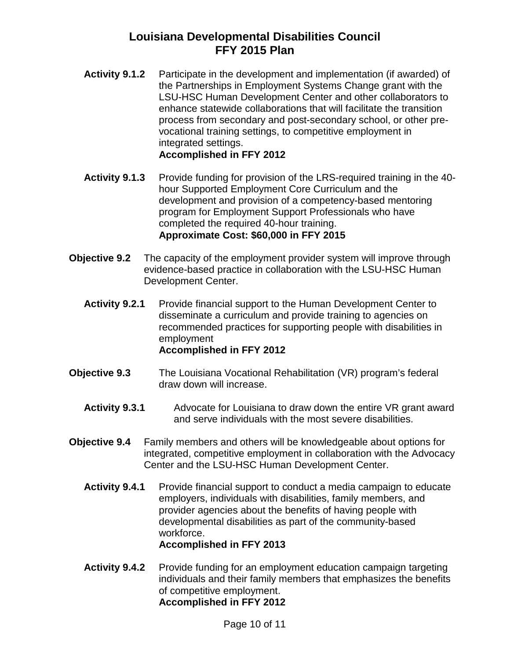- **Activity 9.1.2** Participate in the development and implementation (if awarded) of the Partnerships in Employment Systems Change grant with the LSU-HSC Human Development Center and other collaborators to enhance statewide collaborations that will facilitate the transition process from secondary and post-secondary school, or other prevocational training settings, to competitive employment in integrated settings. **Accomplished in FFY 2012**
- **Activity 9.1.3** Provide funding for provision of the LRS-required training in the 40 hour Supported Employment Core Curriculum and the development and provision of a competency-based mentoring program for Employment Support Professionals who have completed the required 40-hour training. **Approximate Cost: \$60,000 in FFY 2015**
- **Objective 9.2** The capacity of the employment provider system will improve through evidence-based practice in collaboration with the LSU-HSC Human Development Center.
	- **Activity 9.2.1** Provide financial support to the Human Development Center to disseminate a curriculum and provide training to agencies on recommended practices for supporting people with disabilities in employment **Accomplished in FFY 2012**
- **Objective 9.3** The Louisiana Vocational Rehabilitation (VR) program's federal draw down will increase.
	- **Activity 9.3.1** Advocate for Louisiana to draw down the entire VR grant award and serve individuals with the most severe disabilities.
- **Objective 9.4** Family members and others will be knowledgeable about options for integrated, competitive employment in collaboration with the Advocacy Center and the LSU-HSC Human Development Center.
	- **Activity 9.4.1** Provide financial support to conduct a media campaign to educate employers, individuals with disabilities, family members, and provider agencies about the benefits of having people with developmental disabilities as part of the community-based workforce. **Accomplished in FFY 2013**
	- Activity 9.4.2 Provide funding for an employment education campaign targeting individuals and their family members that emphasizes the benefits of competitive employment. **Accomplished in FFY 2012**